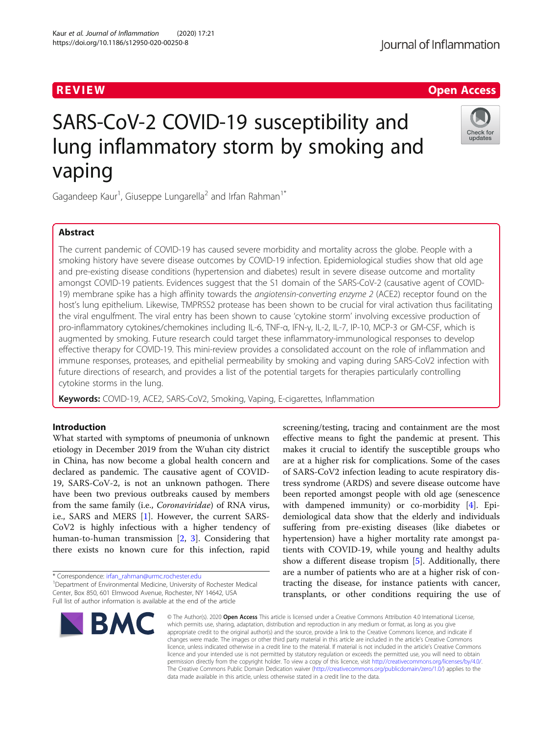## Journal of Inflammation

## R EVI EW Open Access

## Check for updates

# SARS-CoV-2 COVID-19 susceptibility and lung inflammatory storm by smoking and vaping

Gagandeep Kaur<sup>1</sup>, Giuseppe Lungarella<sup>2</sup> and Irfan Rahman<sup>1\*</sup>

## Abstract

The current pandemic of COVID-19 has caused severe morbidity and mortality across the globe. People with a smoking history have severe disease outcomes by COVID-19 infection. Epidemiological studies show that old age and pre-existing disease conditions (hypertension and diabetes) result in severe disease outcome and mortality amongst COVID-19 patients. Evidences suggest that the S1 domain of the SARS-CoV-2 (causative agent of COVID-19) membrane spike has a high affinity towards the angiotensin-converting enzyme 2 (ACE2) receptor found on the host's lung epithelium. Likewise, TMPRSS2 protease has been shown to be crucial for viral activation thus facilitating the viral engulfment. The viral entry has been shown to cause 'cytokine storm' involving excessive production of pro-inflammatory cytokines/chemokines including IL-6, TNF-α, IFN-γ, IL-2, IL-7, IP-10, MCP-3 or GM-CSF, which is augmented by smoking. Future research could target these inflammatory-immunological responses to develop effective therapy for COVID-19. This mini-review provides a consolidated account on the role of inflammation and immune responses, proteases, and epithelial permeability by smoking and vaping during SARS-CoV2 infection with future directions of research, and provides a list of the potential targets for therapies particularly controlling cytokine storms in the lung.

Keywords: COVID-19, ACE2, SARS-CoV2, Smoking, Vaping, E-cigarettes, Inflammation

## Introduction

What started with symptoms of pneumonia of unknown etiology in December 2019 from the Wuhan city district in China, has now become a global health concern and declared as pandemic. The causative agent of COVID-19, SARS-CoV-2, is not an unknown pathogen. There have been two previous outbreaks caused by members from the same family (i.e., Coronaviridae) of RNA virus, i.e., SARS and MERS [[1](#page-6-0)]. However, the current SARS-CoV2 is highly infectious with a higher tendency of human-to-human transmission [[2,](#page-6-0) [3](#page-6-0)]. Considering that there exists no known cure for this infection, rapid

\* Correspondence: [irfan\\_rahman@urmc.rochester.edu](mailto:irfan_rahman@urmc.rochester.edu) <sup>1</sup>

<sup>1</sup>Department of Environmental Medicine, University of Rochester Medical Center, Box 850, 601 Elmwood Avenue, Rochester, NY 14642, USA Full list of author information is available at the end of the article



screening/testing, tracing and containment are the most effective means to fight the pandemic at present. This makes it crucial to identify the susceptible groups who are at a higher risk for complications. Some of the cases of SARS-CoV2 infection leading to acute respiratory distress syndrome (ARDS) and severe disease outcome have been reported amongst people with old age (senescence with dampened immunity) or co-morbidity [\[4\]](#page-6-0). Epidemiological data show that the elderly and individuals suffering from pre-existing diseases (like diabetes or hypertension) have a higher mortality rate amongst patients with COVID-19, while young and healthy adults show a different disease tropism [\[5](#page-6-0)]. Additionally, there are a number of patients who are at a higher risk of contracting the disease, for instance patients with cancer, transplants, or other conditions requiring the use of

© The Author(s), 2020 **Open Access** This article is licensed under a Creative Commons Attribution 4.0 International License, which permits use, sharing, adaptation, distribution and reproduction in any medium or format, as long as you give appropriate credit to the original author(s) and the source, provide a link to the Creative Commons licence, and indicate if changes were made. The images or other third party material in this article are included in the article's Creative Commons licence, unless indicated otherwise in a credit line to the material. If material is not included in the article's Creative Commons licence and your intended use is not permitted by statutory regulation or exceeds the permitted use, you will need to obtain permission directly from the copyright holder. To view a copy of this licence, visit [http://creativecommons.org/licenses/by/4.0/.](http://creativecommons.org/licenses/by/4.0/) The Creative Commons Public Domain Dedication waiver [\(http://creativecommons.org/publicdomain/zero/1.0/](http://creativecommons.org/publicdomain/zero/1.0/)) applies to the data made available in this article, unless otherwise stated in a credit line to the data.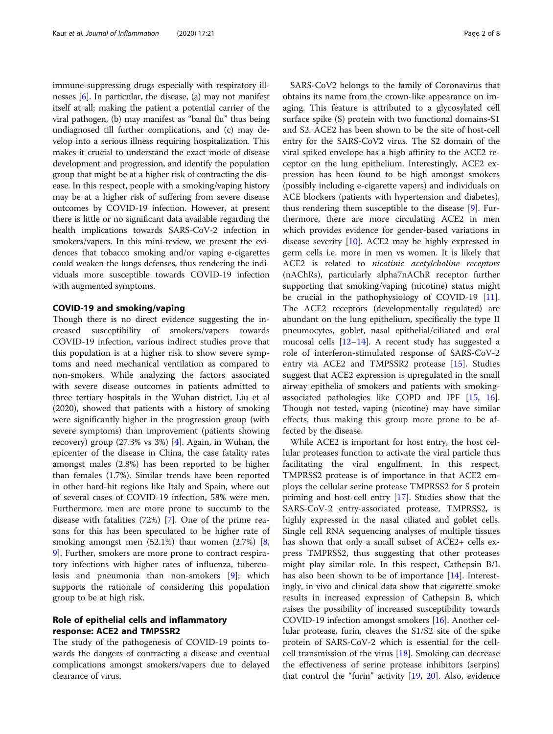immune-suppressing drugs especially with respiratory illnesses [\[6\]](#page-6-0). In particular, the disease, (a) may not manifest itself at all; making the patient a potential carrier of the viral pathogen, (b) may manifest as "banal flu" thus being undiagnosed till further complications, and (c) may develop into a serious illness requiring hospitalization. This makes it crucial to understand the exact mode of disease development and progression, and identify the population group that might be at a higher risk of contracting the disease. In this respect, people with a smoking/vaping history may be at a higher risk of suffering from severe disease outcomes by COVID-19 infection. However, at present there is little or no significant data available regarding the health implications towards SARS-CoV-2 infection in smokers/vapers. In this mini-review, we present the evidences that tobacco smoking and/or vaping e-cigarettes could weaken the lungs defenses, thus rendering the individuals more susceptible towards COVID-19 infection with augmented symptoms.

#### COVID-19 and smoking/vaping

Though there is no direct evidence suggesting the increased susceptibility of smokers/vapers towards COVID-19 infection, various indirect studies prove that this population is at a higher risk to show severe symptoms and need mechanical ventilation as compared to non-smokers. While analyzing the factors associated with severe disease outcomes in patients admitted to three tertiary hospitals in the Wuhan district, Liu et al (2020), showed that patients with a history of smoking were significantly higher in the progression group (with severe symptoms) than improvement (patients showing recovery) group (27.3% vs 3%) [[4\]](#page-6-0). Again, in Wuhan, the epicenter of the disease in China, the case fatality rates amongst males (2.8%) has been reported to be higher than females (1.7%). Similar trends have been reported in other hard-hit regions like Italy and Spain, where out of several cases of COVID-19 infection, 58% were men. Furthermore, men are more prone to succumb to the disease with fatalities (72%) [\[7](#page-6-0)]. One of the prime reasons for this has been speculated to be higher rate of smoking amongst men  $(52.1\%)$  than women  $(2.7\%)$   $[8]$  $[8]$ , [9\]](#page-6-0). Further, smokers are more prone to contract respiratory infections with higher rates of influenza, tuberculosis and pneumonia than non-smokers [\[9](#page-6-0)]; which supports the rationale of considering this population group to be at high risk.

#### Role of epithelial cells and inflammatory response: ACE2 and TMPSSR2

The study of the pathogenesis of COVID-19 points towards the dangers of contracting a disease and eventual complications amongst smokers/vapers due to delayed clearance of virus.

SARS-CoV2 belongs to the family of Coronavirus that obtains its name from the crown-like appearance on imaging. This feature is attributed to a glycosylated cell surface spike (S) protein with two functional domains-S1 and S2. ACE2 has been shown to be the site of host-cell entry for the SARS-CoV2 virus. The S2 domain of the viral spiked envelope has a high affinity to the ACE2 receptor on the lung epithelium. Interestingly, ACE2 expression has been found to be high amongst smokers (possibly including e-cigarette vapers) and individuals on ACE blockers (patients with hypertension and diabetes), thus rendering them susceptible to the disease [[9\]](#page-6-0). Furthermore, there are more circulating ACE2 in men which provides evidence for gender-based variations in disease severity [[10](#page-6-0)]. ACE2 may be highly expressed in germ cells i.e. more in men vs women. It is likely that ACE2 is related to nicotinic acetylcholine receptors (nAChRs), particularly alpha7nAChR receptor further supporting that smoking/vaping (nicotine) status might be crucial in the pathophysiology of COVID-19 [\[11](#page-6-0)]. The ACE2 receptors (developmentally regulated) are abundant on the lung epithelium, specifically the type II pneumocytes, goblet, nasal epithelial/ciliated and oral mucosal cells  $[12-14]$  $[12-14]$  $[12-14]$  $[12-14]$  $[12-14]$ . A recent study has suggested a role of interferon-stimulated response of SARS-CoV-2 entry via ACE2 and TMPSSR2 protease [[15](#page-6-0)]. Studies suggest that ACE2 expression is upregulated in the small airway epithelia of smokers and patients with smokingassociated pathologies like COPD and IPF [[15,](#page-6-0) [16](#page-6-0)]. Though not tested, vaping (nicotine) may have similar effects, thus making this group more prone to be affected by the disease.

While ACE2 is important for host entry, the host cellular proteases function to activate the viral particle thus facilitating the viral engulfment. In this respect, TMPRSS2 protease is of importance in that ACE2 employs the cellular serine protease TMPRSS2 for S protein priming and host-cell entry [[17](#page-6-0)]. Studies show that the SARS-CoV-2 entry-associated protease, TMPRSS2, is highly expressed in the nasal ciliated and goblet cells. Single cell RNA sequencing analyses of multiple tissues has shown that only a small subset of ACE2+ cells express TMPRSS2, thus suggesting that other proteases might play similar role. In this respect, Cathepsin B/L has also been shown to be of importance [[14\]](#page-6-0). Interestingly, in vivo and clinical data show that cigarette smoke results in increased expression of Cathepsin B, which raises the possibility of increased susceptibility towards COVID-19 infection amongst smokers [[16\]](#page-6-0). Another cellular protease, furin, cleaves the S1/S2 site of the spike protein of SARS-CoV-2 which is essential for the cellcell transmission of the virus [[18](#page-6-0)]. Smoking can decrease the effectiveness of serine protease inhibitors (serpins) that control the "furin" activity [\[19,](#page-6-0) [20](#page-6-0)]. Also, evidence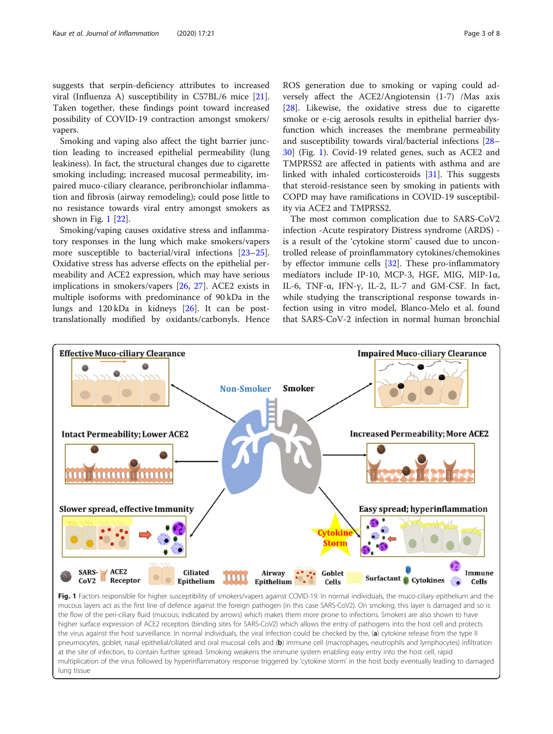<span id="page-2-0"></span>suggests that serpin-deficiency attributes to increased viral (Influenza A) susceptibility in C57BL/6 mice [\[21](#page-6-0)]. Taken together, these findings point toward increased possibility of COVID-19 contraction amongst smokers/ vapers.

Smoking and vaping also affect the tight barrier junction leading to increased epithelial permeability (lung leakiness). In fact, the structural changes due to cigarette smoking including; increased mucosal permeability, impaired muco-ciliary clearance, peribronchiolar inflammation and fibrosis (airway remodeling); could pose little to no resistance towards viral entry amongst smokers as shown in Fig. 1 [[22](#page-6-0)].

Smoking/vaping causes oxidative stress and inflammatory responses in the lung which make smokers/vapers more susceptible to bacterial/viral infections [[23](#page-6-0)–[25](#page-7-0)]. Oxidative stress has adverse effects on the epithelial permeability and ACE2 expression, which may have serious implications in smokers/vapers [\[26,](#page-7-0) [27\]](#page-7-0). ACE2 exists in multiple isoforms with predominance of 90 kDa in the lungs and 120 kDa in kidneys [[26](#page-7-0)]. It can be posttranslationally modified by oxidants/carbonyls. Hence

ROS generation due to smoking or vaping could adversely affect the ACE2/Angiotensin (1-7) /Mas axis [[28\]](#page-7-0). Likewise, the oxidative stress due to cigarette smoke or e-cig aerosols results in epithelial barrier dysfunction which increases the membrane permeability and susceptibility towards viral/bacterial infections [[28](#page-7-0)– [30\]](#page-7-0) (Fig. 1). Covid-19 related genes, such as ACE2 and TMPRSS2 are affected in patients with asthma and are linked with inhaled corticosteroids [\[31](#page-7-0)]. This suggests that steroid-resistance seen by smoking in patients with COPD may have ramifications in COVID-19 susceptibility via ACE2 and TMPRSS2.

The most common complication due to SARS-CoV2 infection -Acute respiratory Distress syndrome (ARDS) is a result of the 'cytokine storm' caused due to uncontrolled release of proinflammatory cytokines/chemokines by effector immune cells [[32](#page-7-0)]. These pro-inflammatory mediators include IP-10, MCP-3, HGF, MIG, MIP-1α, IL-6, TNF-α, IFN-γ, IL-2, IL-7 and GM-CSF. In fact, while studying the transcriptional response towards infection using in vitro model, Blanco-Melo et al. found that SARS-CoV-2 infection in normal human bronchial



Fig. 1 Factors responsible for higher susceptibility of smokers/vapers against COVID-19. In normal individuals, the muco-ciliary epithelium and the mucous layers act as the first line of defence against the foreign pathogen (in this case SARS-CoV2). On smoking, this layer is damaged and so is the flow of the peri-ciliary fluid (mucous; indicated by arrows) which makes them more prone to infections. Smokers are also shown to have higher surface expression of ACE2 receptors (binding sites for SARS-CoV2) which allows the entry of pathogens into the host cell and protects the virus against the host surveillance. In normal individuals, the viral infection could be checked by the, (a) cytokine release from the type II pneumocytes, goblet, nasal epithelial/ciliated and oral mucosal cells and (b) immune cell (macrophages, neutrophils and lymphocytes) infiltration at the site of infection, to contain further spread. Smoking weakens the immune system enabling easy entry into the host cell, rapid multiplication of the virus followed by hyperinflammatory response triggered by 'cytokine storm' in the host body eventually leading to damaged lung tissue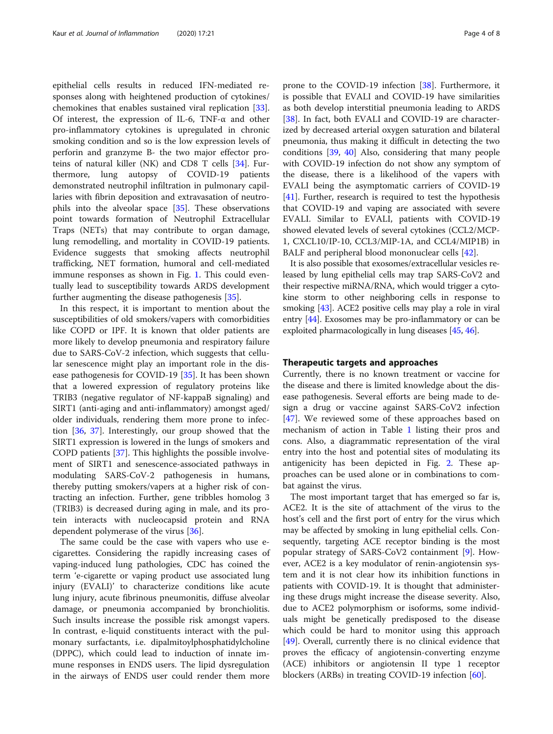epithelial cells results in reduced IFN-mediated responses along with heightened production of cytokines/ chemokines that enables sustained viral replication [\[33](#page-7-0)]. Of interest, the expression of IL-6, TNF- $\alpha$  and other pro-inflammatory cytokines is upregulated in chronic smoking condition and so is the low expression levels of perforin and granzyme B- the two major effector proteins of natural killer (NK) and CD8 T cells [\[34](#page-7-0)]. Furthermore, lung autopsy of COVID-19 patients demonstrated neutrophil infiltration in pulmonary capillaries with fibrin deposition and extravasation of neutrophils into the alveolar space [\[35\]](#page-7-0). These observations point towards formation of Neutrophil Extracellular Traps (NETs) that may contribute to organ damage, lung remodelling, and mortality in COVID-19 patients. Evidence suggests that smoking affects neutrophil trafficking, NET formation, humoral and cell-mediated immune responses as shown in Fig. [1](#page-2-0). This could eventually lead to susceptibility towards ARDS development further augmenting the disease pathogenesis [[35\]](#page-7-0).

In this respect, it is important to mention about the susceptibilities of old smokers/vapers with comorbidities like COPD or IPF. It is known that older patients are more likely to develop pneumonia and respiratory failure due to SARS-CoV-2 infection, which suggests that cellular senescence might play an important role in the disease pathogenesis for COVID-19 [[35](#page-7-0)]. It has been shown that a lowered expression of regulatory proteins like TRIB3 (negative regulator of NF-kappaB signaling) and SIRT1 (anti-aging and anti-inflammatory) amongst aged/ older individuals, rendering them more prone to infection [[36](#page-7-0), [37](#page-7-0)]. Interestingly, our group showed that the SIRT1 expression is lowered in the lungs of smokers and COPD patients [[37\]](#page-7-0). This highlights the possible involvement of SIRT1 and senescence-associated pathways in modulating SARS-CoV-2 pathogenesis in humans, thereby putting smokers/vapers at a higher risk of contracting an infection. Further, gene tribbles homolog 3 (TRIB3) is decreased during aging in male, and its protein interacts with nucleocapsid protein and RNA dependent polymerase of the virus [\[36](#page-7-0)].

The same could be the case with vapers who use ecigarettes. Considering the rapidly increasing cases of vaping-induced lung pathologies, CDC has coined the term 'e-cigarette or vaping product use associated lung injury (EVALI)' to characterize conditions like acute lung injury, acute fibrinous pneumonitis, diffuse alveolar damage, or pneumonia accompanied by bronchiolitis. Such insults increase the possible risk amongst vapers. In contrast, e-liquid constituents interact with the pulmonary surfactants, i.e. dipalmitoylphosphatidylcholine (DPPC), which could lead to induction of innate immune responses in ENDS users. The lipid dysregulation in the airways of ENDS user could render them more prone to the COVID-19 infection [[38\]](#page-7-0). Furthermore, it is possible that EVALI and COVID-19 have similarities as both develop interstitial pneumonia leading to ARDS [[38\]](#page-7-0). In fact, both EVALI and COVID-19 are characterized by decreased arterial oxygen saturation and bilateral pneumonia, thus making it difficult in detecting the two conditions [[39,](#page-7-0) [40\]](#page-7-0) Also, considering that many people with COVID-19 infection do not show any symptom of the disease, there is a likelihood of the vapers with EVALI being the asymptomatic carriers of COVID-19 [[41\]](#page-7-0). Further, research is required to test the hypothesis that COVID-19 and vaping are associated with severe EVALI. Similar to EVALI, patients with COVID-19 showed elevated levels of several cytokines (CCL2/MCP-1, CXCL10/IP-10, CCL3/MIP-1A, and CCL4/MIP1B) in BALF and peripheral blood mononuclear cells [\[42](#page-7-0)].

It is also possible that exosomes/extracellular vesicles released by lung epithelial cells may trap SARS-CoV2 and their respective miRNA/RNA, which would trigger a cytokine storm to other neighboring cells in response to smoking [\[43\]](#page-7-0). ACE2 positive cells may play a role in viral entry [[44](#page-7-0)]. Exosomes may be pro-inflammatory or can be exploited pharmacologically in lung diseases [\[45,](#page-7-0) [46](#page-7-0)].

#### Therapeutic targets and approaches

Currently, there is no known treatment or vaccine for the disease and there is limited knowledge about the disease pathogenesis. Several efforts are being made to design a drug or vaccine against SARS-CoV2 infection [[47\]](#page-7-0). We reviewed some of these approaches based on mechanism of action in Table [1](#page-4-0) listing their pros and cons. Also, a diagrammatic representation of the viral entry into the host and potential sites of modulating its antigenicity has been depicted in Fig. [2.](#page-5-0) These approaches can be used alone or in combinations to combat against the virus.

The most important target that has emerged so far is, ACE2. It is the site of attachment of the virus to the host's cell and the first port of entry for the virus which may be affected by smoking in lung epithelial cells. Consequently, targeting ACE receptor binding is the most popular strategy of SARS-CoV2 containment [\[9](#page-6-0)]. However, ACE2 is a key modulator of renin-angiotensin system and it is not clear how its inhibition functions in patients with COVID-19. It is thought that administering these drugs might increase the disease severity. Also, due to ACE2 polymorphism or isoforms, some individuals might be genetically predisposed to the disease which could be hard to monitor using this approach [[49\]](#page-7-0). Overall, currently there is no clinical evidence that proves the efficacy of angiotensin-converting enzyme (ACE) inhibitors or angiotensin II type 1 receptor blockers (ARBs) in treating COVID-19 infection [[60\]](#page-7-0).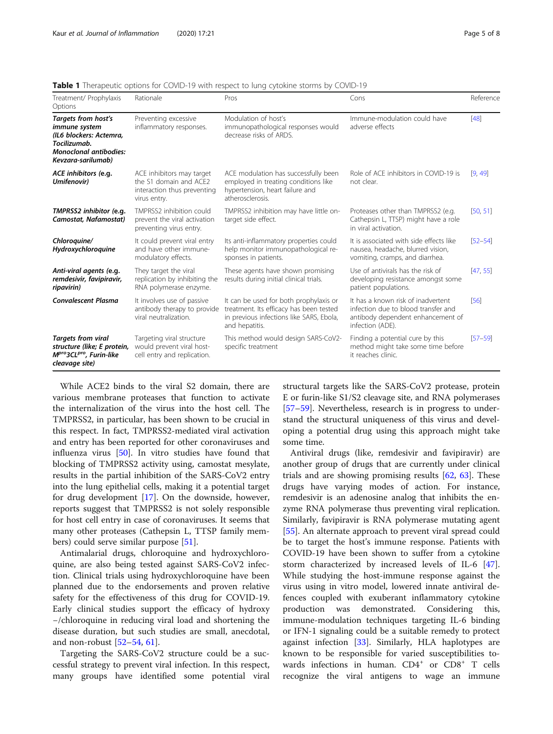| Treatment/ Prophylaxis<br>Options                                                                                                             | Rationale                                                                                          | Pros                                                                                                                                            | Cons                                                                                                                               | Reference   |
|-----------------------------------------------------------------------------------------------------------------------------------------------|----------------------------------------------------------------------------------------------------|-------------------------------------------------------------------------------------------------------------------------------------------------|------------------------------------------------------------------------------------------------------------------------------------|-------------|
| Targets from host's<br><i>immune</i> system<br>(IL6 blockers: Actemra,<br>Tocilizumab.<br><b>Monoclonal antibodies:</b><br>Kevzara-sarilumab) | Preventing excessive<br>inflammatory responses.                                                    | Modulation of host's<br>immunopathological responses would<br>decrease risks of ARDS.                                                           | Immune-modulation could have<br>adverse effects                                                                                    | $[48]$      |
| ACE inhibitors (e.g.<br>Umifenovir)                                                                                                           | ACE inhibitors may target<br>the S1 domain and ACE2<br>interaction thus preventing<br>virus entry. | ACE modulation has successfully been<br>employed in treating conditions like<br>hypertension, heart failure and<br>atherosclerosis.             | Role of ACE inhibitors in COVID-19 is<br>not clear.                                                                                | [9, 49]     |
| TMPRSS2 inhibitor (e.g.<br>Camostat, Nafamostat)                                                                                              | TMPRSS2 inhibition could<br>prevent the viral activation<br>preventing virus entry.                | TMPRSS2 inhibition may have little on-<br>target side effect.                                                                                   | Proteases other than TMPRSS2 (e.g.<br>Cathepsin L, TTSP) might have a role<br>in viral activation.                                 | [50, 51]    |
| Chloroquine/<br>Hydroxychloroquine                                                                                                            | It could prevent viral entry<br>and have other immune-<br>modulatory effects.                      | Its anti-inflammatory properties could<br>help monitor immunopathological re-<br>sponses in patients.                                           | It is associated with side effects like<br>nausea, headache, blurred vision,<br>vomiting, cramps, and diarrhea.                    | $[52 - 54]$ |
| Anti-viral agents (e.g.<br>remdesivir, favipiravir,<br>ripavirin)                                                                             | They target the viral<br>replication by inhibiting the<br>RNA polymerase enzyme.                   | These agents have shown promising<br>results during initial clinical trials.                                                                    | Use of antivirals has the risk of<br>developing resistance amongst some<br>patient populations.                                    | [47, 55]    |
| <b>Convalescent Plasma</b>                                                                                                                    | It involves use of passive<br>antibody therapy to provide<br>viral neutralization.                 | It can be used for both prophylaxis or<br>treatment. Its efficacy has been tested<br>in previous infections like SARS, Ebola,<br>and hepatitis. | It has a known risk of inadvertent<br>infection due to blood transfer and<br>antibody dependent enhancement of<br>infection (ADE). | [56]        |
| <b>Targets from viral</b><br>structure (like; E protein,<br>M <sup>pro</sup> 3CL <sup>pro</sup> , Furin-like<br>cleavage site)                | Targeting viral structure<br>would prevent viral host-<br>cell entry and replication.              | This method would design SARS-CoV2-<br>specific treatment                                                                                       | Finding a potential cure by this<br>method might take some time before<br>it reaches clinic.                                       | $[57 - 59]$ |

<span id="page-4-0"></span>Table 1 Therapeutic options for COVID-19 with respect to lung cytokine storms by COVID-19

While ACE2 binds to the viral S2 domain, there are various membrane proteases that function to activate the internalization of the virus into the host cell. The TMPRSS2, in particular, has been shown to be crucial in this respect. In fact, TMPRSS2-mediated viral activation and entry has been reported for other coronaviruses and influenza virus [[50\]](#page-7-0). In vitro studies have found that blocking of TMPRSS2 activity using, camostat mesylate, results in the partial inhibition of the SARS-CoV2 entry into the lung epithelial cells, making it a potential target for drug development [[17](#page-6-0)]. On the downside, however, reports suggest that TMPRSS2 is not solely responsible for host cell entry in case of coronaviruses. It seems that many other proteases (Cathepsin L, TTSP family members) could serve similar purpose [\[51](#page-7-0)].

Antimalarial drugs, chloroquine and hydroxychloroquine, are also being tested against SARS-CoV2 infection. Clinical trials using hydroxychloroquine have been planned due to the endorsements and proven relative safety for the effectiveness of this drug for COVID-19. Early clinical studies support the efficacy of hydroxy −/chloroquine in reducing viral load and shortening the disease duration, but such studies are small, anecdotal, and non-robust [\[52](#page-7-0)–[54](#page-7-0), [61\]](#page-7-0).

Targeting the SARS-CoV2 structure could be a successful strategy to prevent viral infection. In this respect, many groups have identified some potential viral

structural targets like the SARS-CoV2 protease, protein E or furin-like S1/S2 cleavage site, and RNA polymerases [[57](#page-7-0)–[59](#page-7-0)]. Nevertheless, research is in progress to understand the structural uniqueness of this virus and developing a potential drug using this approach might take some time.

Antiviral drugs (like, remdesivir and favipiravir) are another group of drugs that are currently under clinical trials and are showing promising results [[62](#page-7-0), [63](#page-7-0)]. These drugs have varying modes of action. For instance, remdesivir is an adenosine analog that inhibits the enzyme RNA polymerase thus preventing viral replication. Similarly, favipiravir is RNA polymerase mutating agent [[55\]](#page-7-0). An alternate approach to prevent viral spread could be to target the host's immune response. Patients with COVID-19 have been shown to suffer from a cytokine storm characterized by increased levels of IL-6 [\[47](#page-7-0)]. While studying the host-immune response against the virus using in vitro model, lowered innate antiviral defences coupled with exuberant inflammatory cytokine production was demonstrated. Considering this, immune-modulation techniques targeting IL-6 binding or IFN-1 signaling could be a suitable remedy to protect against infection [[33](#page-7-0)]. Similarly, HLA haplotypes are known to be responsible for varied susceptibilities towards infections in human.  $CD4^+$  or  $CD8^+$  T cells recognize the viral antigens to wage an immune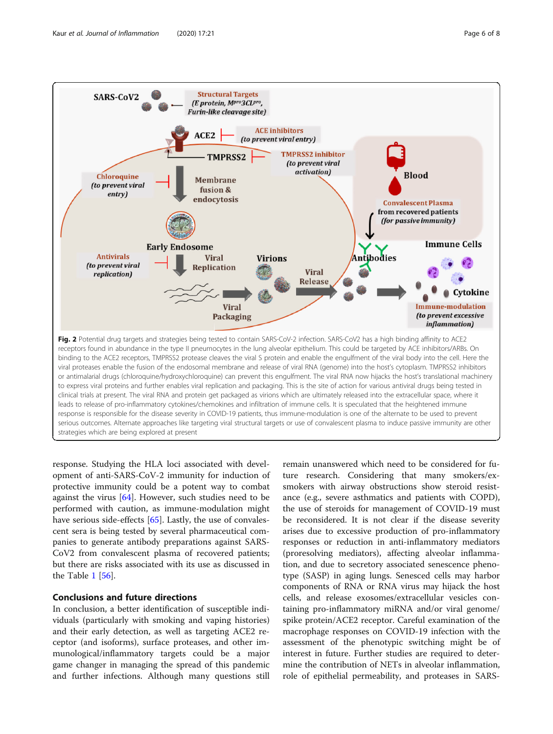<span id="page-5-0"></span>

response. Studying the HLA loci associated with development of anti-SARS-CoV-2 immunity for induction of protective immunity could be a potent way to combat against the virus [[64](#page-7-0)]. However, such studies need to be performed with caution, as immune-modulation might have serious side-effects [[65](#page-7-0)]. Lastly, the use of convalescent sera is being tested by several pharmaceutical companies to generate antibody preparations against SARS-CoV2 from convalescent plasma of recovered patients; but there are risks associated with its use as discussed in the Table [1](#page-4-0) [\[56](#page-7-0)].

### Conclusions and future directions

In conclusion, a better identification of susceptible individuals (particularly with smoking and vaping histories) and their early detection, as well as targeting ACE2 receptor (and isoforms), surface proteases, and other immunological/inflammatory targets could be a major game changer in managing the spread of this pandemic and further infections. Although many questions still

remain unanswered which need to be considered for future research. Considering that many smokers/exsmokers with airway obstructions show steroid resistance (e.g., severe asthmatics and patients with COPD), the use of steroids for management of COVID-19 must be reconsidered. It is not clear if the disease severity arises due to excessive production of pro-inflammatory responses or reduction in anti-inflammatory mediators (proresolving mediators), affecting alveolar inflammation, and due to secretory associated senescence phenotype (SASP) in aging lungs. Senesced cells may harbor components of RNA or RNA virus may hijack the host cells, and release exosomes/extracellular vesicles containing pro-inflammatory miRNA and/or viral genome/ spike protein/ACE2 receptor. Careful examination of the macrophage responses on COVID-19 infection with the assessment of the phenotypic switching might be of interest in future. Further studies are required to determine the contribution of NETs in alveolar inflammation, role of epithelial permeability, and proteases in SARS-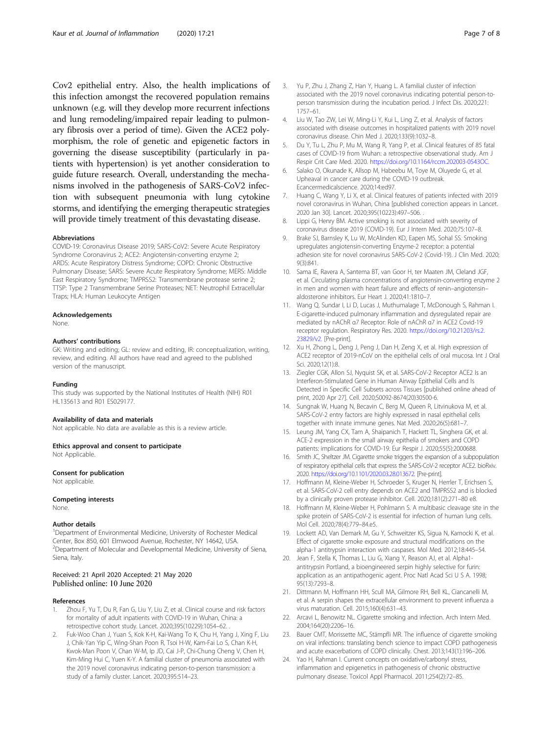<span id="page-6-0"></span>Cov2 epithelial entry. Also, the health implications of this infection amongst the recovered population remains unknown (e.g. will they develop more recurrent infections and lung remodeling/impaired repair leading to pulmonary fibrosis over a period of time). Given the ACE2 polymorphism, the role of genetic and epigenetic factors in governing the disease susceptibility (particularly in patients with hypertension) is yet another consideration to guide future research. Overall, understanding the mechanisms involved in the pathogenesis of SARS-CoV2 infection with subsequent pneumonia with lung cytokine storms, and identifying the emerging therapeutic strategies will provide timely treatment of this devastating disease.

#### Abbreviations

COVID-19: Coronavirus Disease 2019; SARS-CoV2: Severe Acute Respiratory Syndrome Coronavirus 2; ACE2: Angiotensin-converting enzyme 2; ARDS: Acute Respiratory Distress Syndrome; COPD: Chronic Obstructive Pulmonary Disease; SARS: Severe Acute Respiratory Syndrome; MERS: Middle East Respiratory Syndrome; TMPRSS2: Transmembrane protease serine 2; TTSP: Type 2 Transmembrane Serine Proteases; NET: Neutrophil Extracellular Traps; HLA: Human Leukocyte Antigen

#### Acknowledgements

None.

#### Authors' contributions

GK: Writing and editing; GL: review and editing, IR: conceptualization, writing, review, and editing. All authors have read and agreed to the published version of the manuscript.

#### Funding

This study was supported by the National Institutes of Health (NIH) R01 HL135613 and R01 ES029177.

#### Availability of data and materials

Not applicable. No data are available as this is a review article.

Ethics approval and consent to participate Not Applicable.

#### Consent for publication

Not applicable.

#### Competing interests

None.

#### Author details

<sup>1</sup>Department of Environmental Medicine, University of Rochester Medical Center, Box 850, 601 Elmwood Avenue, Rochester, NY 14642, USA. <sup>2</sup>Department of Molecular and Developmental Medicine, University of Siena, Siena, Italy.

#### Received: 21 April 2020 Accepted: 21 May 2020 Published online: 10 June 2020

#### References

- 1. Zhou F, Yu T, Du R, Fan G, Liu Y, Liu Z, et al. Clinical course and risk factors for mortality of adult inpatients with COVID-19 in Wuhan, China: a retrospective cohort study. Lancet. 2020;395(10229):1054–62. .
- 2. Fuk-Woo Chan J, Yuan S, Kok K-H, Kai-Wang To K, Chu H, Yang J, Xing F, Liu J, Chik-Yan Yip C, Wing-Shan Poon R, Tsoi H-W, Kam-Fai Lo S, Chan K-H, Kwok-Man Poon V, Chan W-M, Ip JD, Cai J-P, Chi-Chung Cheng V, Chen H, Kim-Ming Hui C, Yuen K-Y. A familial cluster of pneumonia associated with the 2019 novel coronavirus indicating person-to-person transmission: a study of a family cluster. Lancet. 2020;395:514–23.
- 4. Liu W, Tao ZW, Lei W, Ming-Li Y, Kui L, Ling Z, et al. Analysis of factors associated with disease outcomes in hospitalized patients with 2019 novel coronavirus disease. Chin Med J. 2020;133(9):1032–8.
- 5. Du Y, Tu L, Zhu P, Mu M, Wang R, Yang P, et al. Clinical features of 85 fatal cases of COVID-19 from Wuhan: a retrospective observational study. Am J Respir Crit Care Med. 2020. <https://doi.org/10.1164/rccm.202003-0543OC>.
- 6. Salako O, Okunade K, Allsop M, Habeebu M, Toye M, Oluyede G, et al. Upheaval in cancer care during the COVID-19 outbreak. Ecancermedicalscience. 2020;14:ed97.
- 7. Huang C, Wang Y, Li X, et al. Clinical features of patients infected with 2019 novel coronavirus in Wuhan, China [published correction appears in Lancet. 2020 Jan 30]. Lancet. 2020;395(10223):497–506. .
- 8. Lippi G, Henry BM. Active smoking is not associated with severity of coronavirus disease 2019 (COVID-19). Eur J Intern Med. 2020;75:107–8.
- 9. Brake SJ, Barnsley K, Lu W, McAlinden KD, Eapen MS, Sohal SS. Smoking upregulates angiotensin-converting Enzyme-2 receptor: a potential adhesion site for novel coronavirus SARS-CoV-2 (Covid-19). J Clin Med. 2020; 9(3):841.
- 10. Sama IE, Ravera A, Santema BT, van Goor H, ter Maaten JM, Cleland JGF, et al. Circulating plasma concentrations of angiotensin-converting enzyme 2 in men and women with heart failure and effects of renin–angiotensin– aldosterone inhibitors. Eur Heart J. 2020;41:1810–7.
- 11. Wang Q, Sundar I, Li D, Lucas J, Muthumalage T, McDonough S, Rahman I. E-cigarette-induced pulmonary inflammation and dysregulated repair are mediated by nAChR α7 Receptor: Role of nAChR α7 in ACE2 Covid-19 receptor regulation. Respiratory Res. 2020. [https://doi.org/10.21203/rs.2.](https://doi.org/10.21203/rs.2.23829/v2) [23829/v2.](https://doi.org/10.21203/rs.2.23829/v2) [Pre-print].
- 12. Xu H, Zhong L, Deng J, Peng J, Dan H, Zeng X, et al. High expression of ACE2 receptor of 2019-nCoV on the epithelial cells of oral mucosa. Int J Oral Sci. 2020;12(1):8.
- 13. Ziegler CGK, Allon SJ, Nyquist SK, et al. SARS-CoV-2 Receptor ACE2 Is an Interferon-Stimulated Gene in Human Airway Epithelial Cells and Is Detected in Specific Cell Subsets across Tissues [published online ahead of print, 2020 Apr 27]. Cell. 2020;S0092-8674(20)30500-6.
- 14. Sungnak W, Huang N, Becavin C, Berg M, Queen R, Litvinukova M, et al. SARS-CoV-2 entry factors are highly expressed in nasal epithelial cells together with innate immune genes. Nat Med. 2020;26(5):681–7.
- 15. Leung JM, Yang CX, Tam A, Shaipanich T, Hackett TL, Singhera GK, et al. ACE-2 expression in the small airway epithelia of smokers and COPD patients: implications for COVID-19. Eur Respir J. 2020;55(5):2000688.
- 16. Smith JC, Sheltzer JM. Cigarette smoke triggers the expansion of a subpopulation of respiratory epithelial cells that express the SARS-CoV-2 receptor ACE2. bioRxiv. 2020. <https://doi.org/10.1101/2020.03.28.013672>. [Pre-print].
- 17. Hoffmann M, Kleine-Weber H, Schroeder S, Kruger N, Herrler T, Erichsen S, et al. SARS-CoV-2 cell entry depends on ACE2 and TMPRSS2 and is blocked by a clinically proven protease inhibitor. Cell. 2020;181(2):271–80 e8.
- 18. Hoffmann M, Kleine-Weber H, Pohlmann S. A multibasic cleavage site in the spike protein of SARS-CoV-2 is essential for infection of human lung cells. Mol Cell. 2020;78(4):779–84.e5.
- 19. Lockett AD, Van Demark M, Gu Y, Schweitzer KS, Sigua N, Kamocki K, et al. Effect of cigarette smoke exposure and structural modifications on the alpha-1 antitrypsin interaction with caspases. Mol Med. 2012;18:445–54.
- 20. Jean F, Stella K, Thomas L, Liu G, Xiang Y, Reason AJ, et al. Alpha1 antitrypsin Portland, a bioengineered serpin highly selective for furin: application as an antipathogenic agent. Proc Natl Acad Sci U S A. 1998; 95(13):7293–8.
- 21. Dittmann M, Hoffmann HH, Scull MA, Gilmore RH, Bell KL, Ciancanelli M, et al. A serpin shapes the extracellular environment to prevent influenza a virus maturation. Cell. 2015;160(4):631–43.
- 22. Arcavi L, Benowitz NL. Cigarette smoking and infection. Arch Intern Med. 2004;164(20):2206–16.
- 23. Bauer CMT, Morissette MC, Stämpfli MR. The influence of cigarette smoking on viral infections: translating bench science to impact COPD pathogenesis and acute exacerbations of COPD clinically. Chest. 2013;143(1):196–206.
- 24. Yao H, Rahman I. Current concepts on oxidative/carbonyl stress, inflammation and epigenetics in pathogenesis of chronic obstructive pulmonary disease. Toxicol Appl Pharmacol. 2011;254(2):72–85.